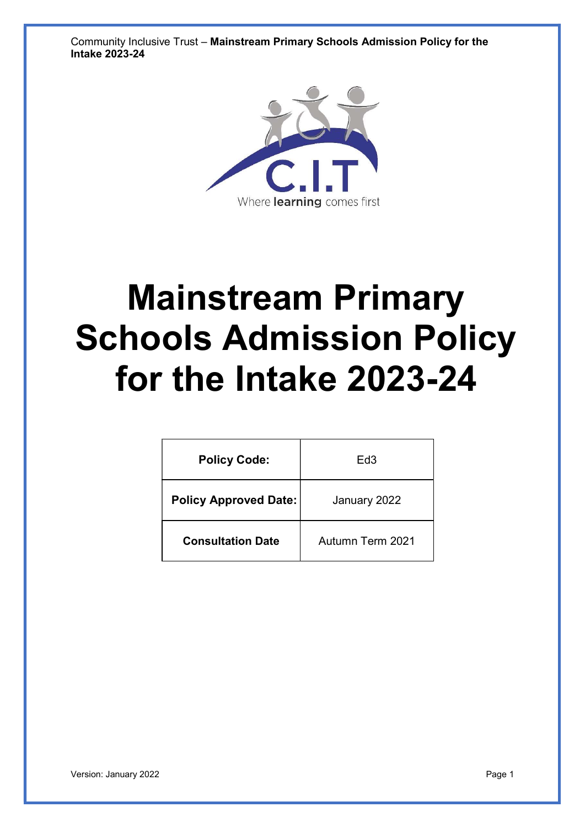Community Inclusive Trust – Mainstream Primary Schools Admission Policy for the Intake 2023-24



# Mainstream Primary Schools Admission Policy for the Intake 2023-24

| <b>Policy Code:</b>          | Ed3              |  |
|------------------------------|------------------|--|
| <b>Policy Approved Date:</b> | January 2022     |  |
| <b>Consultation Date</b>     | Autumn Term 2021 |  |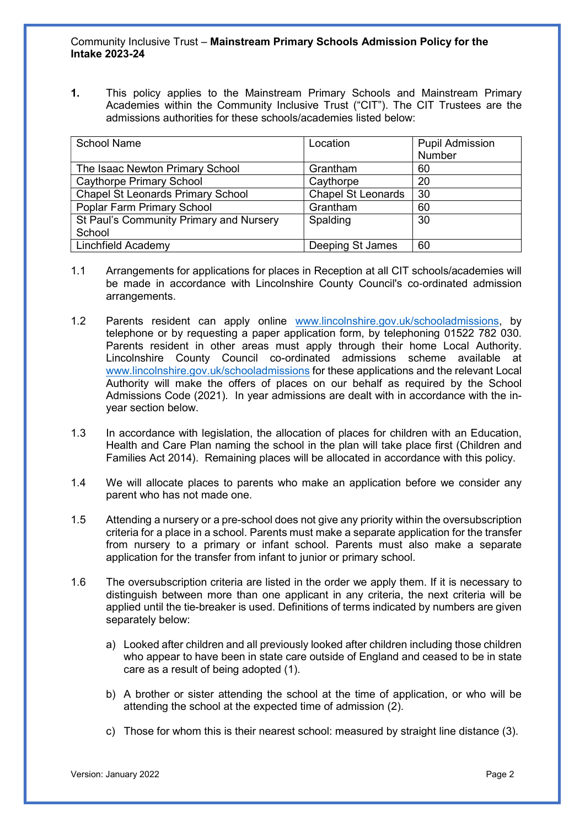1. This policy applies to the Mainstream Primary Schools and Mainstream Primary Academies within the Community Inclusive Trust ("CIT"). The CIT Trustees are the admissions authorities for these schools/academies listed below:

| <b>School Name</b>                       | Location                  | <b>Pupil Admission</b> |
|------------------------------------------|---------------------------|------------------------|
|                                          |                           | Number                 |
| The Isaac Newton Primary School          | Grantham                  | 60                     |
| <b>Caythorpe Primary School</b>          | Caythorpe                 | 20                     |
| <b>Chapel St Leonards Primary School</b> | <b>Chapel St Leonards</b> | 30                     |
| Poplar Farm Primary School               | Grantham                  | 60                     |
| St Paul's Community Primary and Nursery  | Spalding                  | 30                     |
| School                                   |                           |                        |
| <b>Linchfield Academy</b>                | Deeping St James          | 60                     |

- 1.1 Arrangements for applications for places in Reception at all CIT schools/academies will be made in accordance with Lincolnshire County Council's co-ordinated admission arrangements.
- 1.2 Parents resident can apply online www.lincolnshire.gov.uk/schooladmissions, by telephone or by requesting a paper application form, by telephoning 01522 782 030. Parents resident in other areas must apply through their home Local Authority. Lincolnshire County Council co-ordinated admissions scheme available at www.lincolnshire.gov.uk/schooladmissions for these applications and the relevant Local Authority will make the offers of places on our behalf as required by the School Admissions Code (2021). In year admissions are dealt with in accordance with the inyear section below.
- 1.3 In accordance with legislation, the allocation of places for children with an Education, Health and Care Plan naming the school in the plan will take place first (Children and Families Act 2014). Remaining places will be allocated in accordance with this policy.
- 1.4 We will allocate places to parents who make an application before we consider any parent who has not made one.
- 1.5 Attending a nursery or a pre-school does not give any priority within the oversubscription criteria for a place in a school. Parents must make a separate application for the transfer from nursery to a primary or infant school. Parents must also make a separate application for the transfer from infant to junior or primary school.
- 1.6 The oversubscription criteria are listed in the order we apply them. If it is necessary to distinguish between more than one applicant in any criteria, the next criteria will be applied until the tie-breaker is used. Definitions of terms indicated by numbers are given separately below:
	- a) Looked after children and all previously looked after children including those children who appear to have been in state care outside of England and ceased to be in state care as a result of being adopted (1).
	- b) A brother or sister attending the school at the time of application, or who will be attending the school at the expected time of admission (2).
	- c) Those for whom this is their nearest school: measured by straight line distance (3).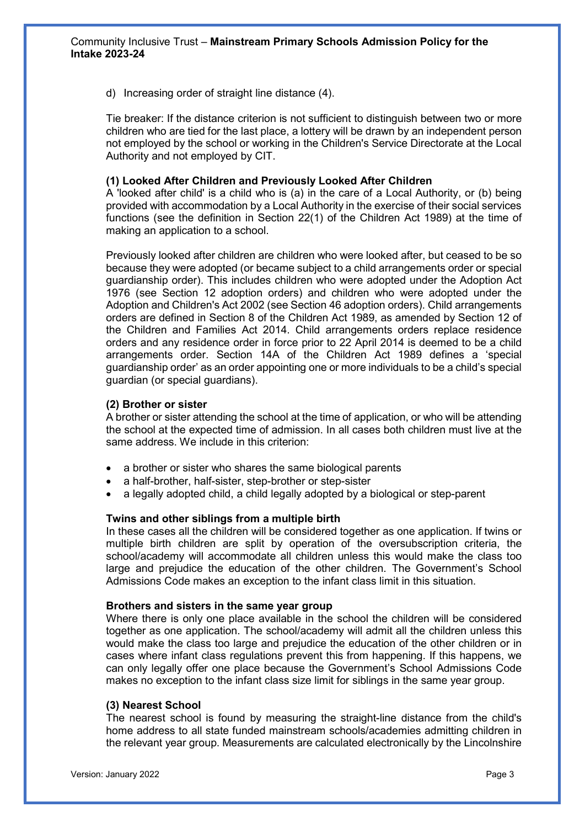d) Increasing order of straight line distance (4).

Tie breaker: If the distance criterion is not sufficient to distinguish between two or more children who are tied for the last place, a lottery will be drawn by an independent person not employed by the school or working in the Children's Service Directorate at the Local Authority and not employed by CIT.

#### (1) Looked After Children and Previously Looked After Children

A 'looked after child' is a child who is (a) in the care of a Local Authority, or (b) being provided with accommodation by a Local Authority in the exercise of their social services functions (see the definition in Section 22(1) of the Children Act 1989) at the time of making an application to a school.

Previously looked after children are children who were looked after, but ceased to be so because they were adopted (or became subject to a child arrangements order or special guardianship order). This includes children who were adopted under the Adoption Act 1976 (see Section 12 adoption orders) and children who were adopted under the Adoption and Children's Act 2002 (see Section 46 adoption orders). Child arrangements orders are defined in Section 8 of the Children Act 1989, as amended by Section 12 of the Children and Families Act 2014. Child arrangements orders replace residence orders and any residence order in force prior to 22 April 2014 is deemed to be a child arrangements order. Section 14A of the Children Act 1989 defines a 'special guardianship order' as an order appointing one or more individuals to be a child's special guardian (or special guardians).

#### (2) Brother or sister

A brother or sister attending the school at the time of application, or who will be attending the school at the expected time of admission. In all cases both children must live at the same address. We include in this criterion:

- a brother or sister who shares the same biological parents
- a half-brother, half-sister, step-brother or step-sister
- a legally adopted child, a child legally adopted by a biological or step-parent

#### Twins and other siblings from a multiple birth

In these cases all the children will be considered together as one application. If twins or multiple birth children are split by operation of the oversubscription criteria, the school/academy will accommodate all children unless this would make the class too large and prejudice the education of the other children. The Government's School Admissions Code makes an exception to the infant class limit in this situation.

#### Brothers and sisters in the same year group

Where there is only one place available in the school the children will be considered together as one application. The school/academy will admit all the children unless this would make the class too large and prejudice the education of the other children or in cases where infant class regulations prevent this from happening. If this happens, we can only legally offer one place because the Government's School Admissions Code makes no exception to the infant class size limit for siblings in the same year group.

#### (3) Nearest School

The nearest school is found by measuring the straight-line distance from the child's home address to all state funded mainstream schools/academies admitting children in the relevant year group. Measurements are calculated electronically by the Lincolnshire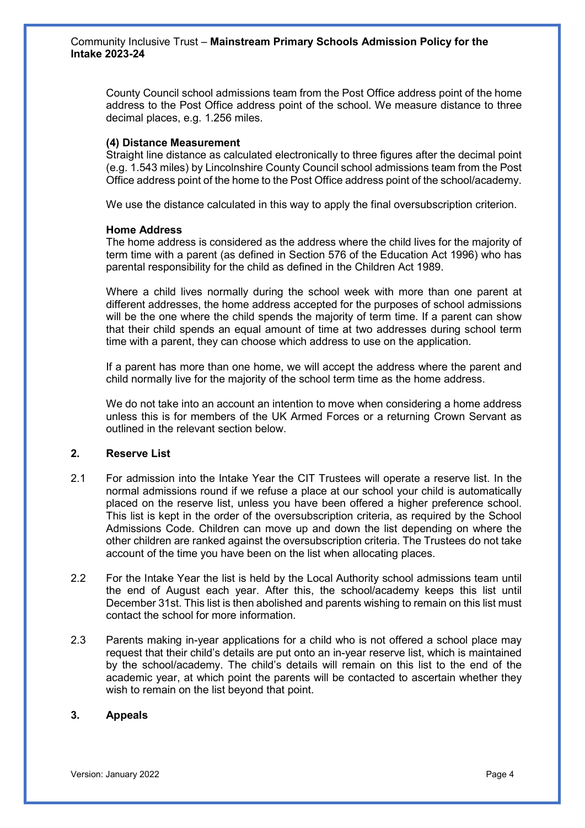County Council school admissions team from the Post Office address point of the home address to the Post Office address point of the school. We measure distance to three decimal places, e.g. 1.256 miles.

#### (4) Distance Measurement

Straight line distance as calculated electronically to three figures after the decimal point (e.g. 1.543 miles) by Lincolnshire County Council school admissions team from the Post Office address point of the home to the Post Office address point of the school/academy.

We use the distance calculated in this way to apply the final oversubscription criterion.

#### Home Address

The home address is considered as the address where the child lives for the majority of term time with a parent (as defined in Section 576 of the Education Act 1996) who has parental responsibility for the child as defined in the Children Act 1989.

Where a child lives normally during the school week with more than one parent at different addresses, the home address accepted for the purposes of school admissions will be the one where the child spends the majority of term time. If a parent can show that their child spends an equal amount of time at two addresses during school term time with a parent, they can choose which address to use on the application.

If a parent has more than one home, we will accept the address where the parent and child normally live for the majority of the school term time as the home address.

We do not take into an account an intention to move when considering a home address unless this is for members of the UK Armed Forces or a returning Crown Servant as outlined in the relevant section below.

# 2. Reserve List

- 2.1 For admission into the Intake Year the CIT Trustees will operate a reserve list. In the normal admissions round if we refuse a place at our school your child is automatically placed on the reserve list, unless you have been offered a higher preference school. This list is kept in the order of the oversubscription criteria, as required by the School Admissions Code. Children can move up and down the list depending on where the other children are ranked against the oversubscription criteria. The Trustees do not take account of the time you have been on the list when allocating places.
- 2.2 For the Intake Year the list is held by the Local Authority school admissions team until the end of August each year. After this, the school/academy keeps this list until December 31st. This list is then abolished and parents wishing to remain on this list must contact the school for more information.
- 2.3 Parents making in-year applications for a child who is not offered a school place may request that their child's details are put onto an in-year reserve list, which is maintained by the school/academy. The child's details will remain on this list to the end of the academic year, at which point the parents will be contacted to ascertain whether they wish to remain on the list beyond that point.

# 3. Appeals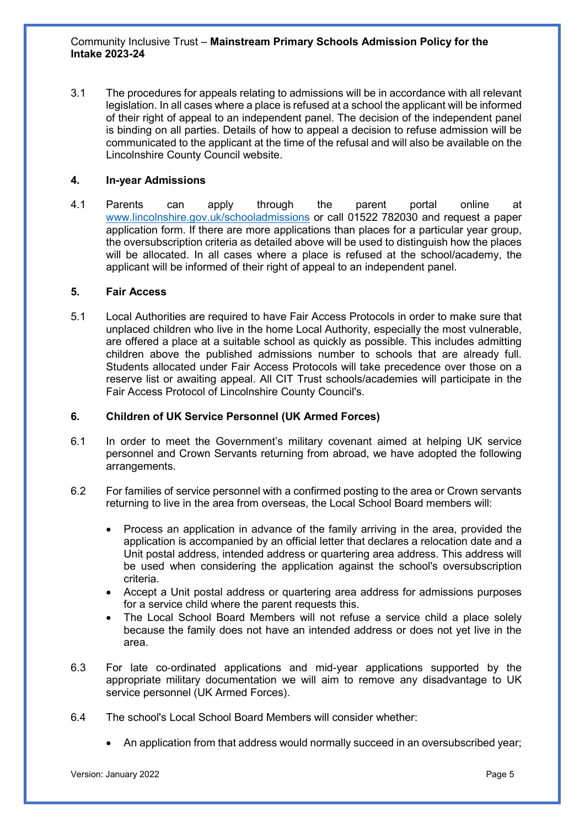3.1 The procedures for appeals relating to admissions will be in accordance with all relevant legislation. In all cases where a place is refused at a school the applicant will be informed of their right of appeal to an independent panel. The decision of the independent panel is binding on all parties. Details of how to appeal a decision to refuse admission will be communicated to the applicant at the time of the refusal and will also be available on the Lincolnshire County Council website.

# 4. In-year Admissions

4.1 Parents can apply through the parent portal online at www.lincolnshire.gov.uk/schooladmissions or call 01522 782030 and request a paper application form. If there are more applications than places for a particular year group, the oversubscription criteria as detailed above will be used to distinguish how the places will be allocated. In all cases where a place is refused at the school/academy, the applicant will be informed of their right of appeal to an independent panel.

## 5. Fair Access

5.1 Local Authorities are required to have Fair Access Protocols in order to make sure that unplaced children who live in the home Local Authority, especially the most vulnerable, are offered a place at a suitable school as quickly as possible. This includes admitting children above the published admissions number to schools that are already full. Students allocated under Fair Access Protocols will take precedence over those on a reserve list or awaiting appeal. All CIT Trust schools/academies will participate in the Fair Access Protocol of Lincolnshire County Council's.

# 6. Children of UK Service Personnel (UK Armed Forces)

- 6.1 In order to meet the Government's military covenant aimed at helping UK service personnel and Crown Servants returning from abroad, we have adopted the following arrangements.
- 6.2 For families of service personnel with a confirmed posting to the area or Crown servants returning to live in the area from overseas, the Local School Board members will:
	- Process an application in advance of the family arriving in the area, provided the application is accompanied by an official letter that declares a relocation date and a Unit postal address, intended address or quartering area address. This address will be used when considering the application against the school's oversubscription criteria.
	- Accept a Unit postal address or quartering area address for admissions purposes for a service child where the parent requests this.
	- The Local School Board Members will not refuse a service child a place solely because the family does not have an intended address or does not yet live in the area.
- 6.3 For late co‐ordinated applications and mid-year applications supported by the appropriate military documentation we will aim to remove any disadvantage to UK service personnel (UK Armed Forces).
- 6.4 The school's Local School Board Members will consider whether:
	- An application from that address would normally succeed in an oversubscribed year;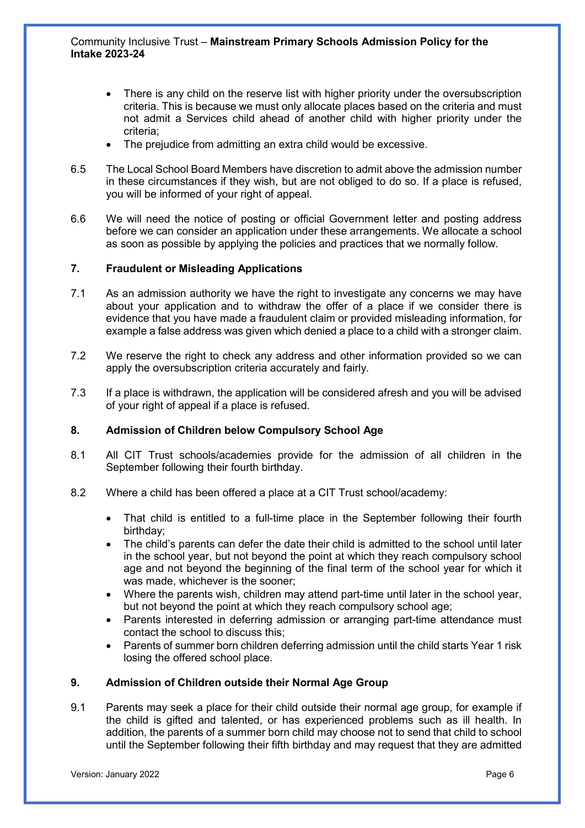- There is any child on the reserve list with higher priority under the oversubscription criteria. This is because we must only allocate places based on the criteria and must not admit a Services child ahead of another child with higher priority under the criteria;
- The prejudice from admitting an extra child would be excessive.
- 6.5 The Local School Board Members have discretion to admit above the admission number in these circumstances if they wish, but are not obliged to do so. If a place is refused, you will be informed of your right of appeal.
- 6.6 We will need the notice of posting or official Government letter and posting address before we can consider an application under these arrangements. We allocate a school as soon as possible by applying the policies and practices that we normally follow.

## 7. Fraudulent or Misleading Applications

- 7.1 As an admission authority we have the right to investigate any concerns we may have about your application and to withdraw the offer of a place if we consider there is evidence that you have made a fraudulent claim or provided misleading information, for example a false address was given which denied a place to a child with a stronger claim.
- 7.2 We reserve the right to check any address and other information provided so we can apply the oversubscription criteria accurately and fairly.
- 7.3 If a place is withdrawn, the application will be considered afresh and you will be advised of your right of appeal if a place is refused.

## 8. Admission of Children below Compulsory School Age

- 8.1 All CIT Trust schools/academies provide for the admission of all children in the September following their fourth birthday.
- 8.2 Where a child has been offered a place at a CIT Trust school/academy:
	- That child is entitled to a full-time place in the September following their fourth birthday;
	- The child's parents can defer the date their child is admitted to the school until later in the school year, but not beyond the point at which they reach compulsory school age and not beyond the beginning of the final term of the school year for which it was made, whichever is the sooner;
	- Where the parents wish, children may attend part-time until later in the school year, but not beyond the point at which they reach compulsory school age;
	- Parents interested in deferring admission or arranging part-time attendance must contact the school to discuss this;
	- Parents of summer born children deferring admission until the child starts Year 1 risk losing the offered school place.

## 9. Admission of Children outside their Normal Age Group

9.1 Parents may seek a place for their child outside their normal age group, for example if the child is gifted and talented, or has experienced problems such as ill health. In addition, the parents of a summer born child may choose not to send that child to school until the September following their fifth birthday and may request that they are admitted